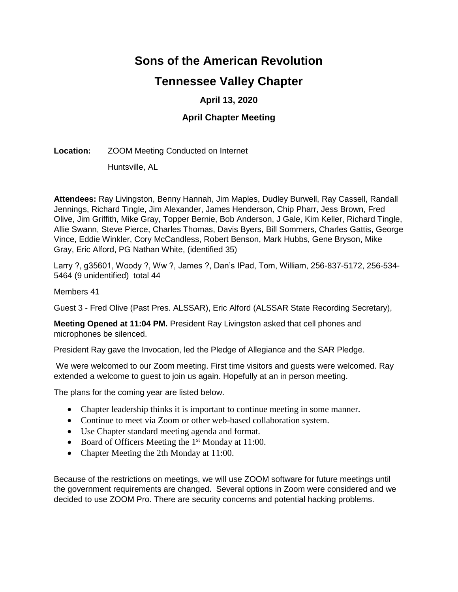# **Sons of the American Revolution**

# **Tennessee Valley Chapter**

# **April 13, 2020**

### **April Chapter Meeting**

#### **Location:** ZOOM Meeting Conducted on Internet

Huntsville, AL

**Attendees:** Ray Livingston, Benny Hannah, Jim Maples, Dudley Burwell, Ray Cassell, Randall Jennings, Richard Tingle, Jim Alexander, James Henderson, Chip Pharr, Jess Brown, Fred Olive, Jim Griffith, Mike Gray, Topper Bernie, Bob Anderson, J Gale, Kim Keller, Richard Tingle, Allie Swann, Steve Pierce, Charles Thomas, Davis Byers, Bill Sommers, Charles Gattis, George Vince, Eddie Winkler, Cory McCandless, Robert Benson, Mark Hubbs, Gene Bryson, Mike Gray, Eric Alford, PG Nathan White, (identified 35)

Larry ?, g35601, Woody ?, Ww ?, James ?, Dan's IPad, Tom, William, 256-837-5172, 256-534- 5464 (9 unidentified) total 44

Members 41

Guest 3 - Fred Olive (Past Pres. ALSSAR), Eric Alford (ALSSAR State Recording Secretary),

**Meeting Opened at 11:04 PM.** President Ray Livingston asked that cell phones and microphones be silenced.

President Ray gave the Invocation, led the Pledge of Allegiance and the SAR Pledge.

We were welcomed to our Zoom meeting. First time visitors and guests were welcomed. Ray extended a welcome to guest to join us again. Hopefully at an in person meeting.

The plans for the coming year are listed below.

- Chapter leadership thinks it is important to continue meeting in some manner.
- Continue to meet via Zoom or other web-based collaboration system.
- Use Chapter standard meeting agenda and format.
- Board of Officers Meeting the 1<sup>st</sup> Monday at 11:00.
- Chapter Meeting the 2th Monday at 11:00.

Because of the restrictions on meetings, we will use ZOOM software for future meetings until the government requirements are changed. Several options in Zoom were considered and we decided to use ZOOM Pro. There are security concerns and potential hacking problems.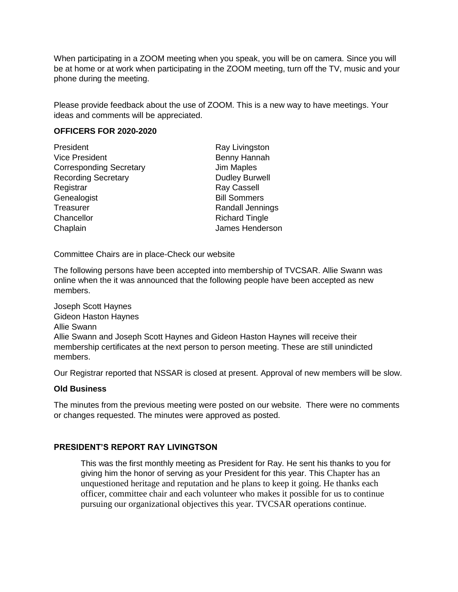When participating in a ZOOM meeting when you speak, you will be on camera. Since you will be at home or at work when participating in the ZOOM meeting, turn off the TV, music and your phone during the meeting.

Please provide feedback about the use of ZOOM. This is a new way to have meetings. Your ideas and comments will be appreciated.

#### **OFFICERS FOR 2020-2020**

| President                      | Ray Livingston        |
|--------------------------------|-----------------------|
| <b>Vice President</b>          | Benny Hannah          |
| <b>Corresponding Secretary</b> | Jim Maples            |
| <b>Recording Secretary</b>     | <b>Dudley Burwell</b> |
| Registrar                      | <b>Ray Cassell</b>    |
| Genealogist                    | <b>Bill Sommers</b>   |
| Treasurer                      | Randall Jennings      |
| Chancellor                     | <b>Richard Tingle</b> |
| Chaplain                       | James Henderson       |

Committee Chairs are in place-Check our website

The following persons have been accepted into membership of TVCSAR. Allie Swann was online when the it was announced that the following people have been accepted as new members.

Joseph Scott Haynes Gideon Haston Haynes Allie Swann Allie Swann and Joseph Scott Haynes and Gideon Haston Haynes will receive their membership certificates at the next person to person meeting. These are still unindicted members.

Our Registrar reported that NSSAR is closed at present. Approval of new members will be slow.

#### **Old Business**

The minutes from the previous meeting were posted on our website. There were no comments or changes requested. The minutes were approved as posted.

#### **PRESIDENT'S REPORT RAY LIVINGTSON**

This was the first monthly meeting as President for Ray. He sent his thanks to you for giving him the honor of serving as your President for this year. This Chapter has an unquestioned heritage and reputation and he plans to keep it going. He thanks each officer, committee chair and each volunteer who makes it possible for us to continue pursuing our organizational objectives this year. TVCSAR operations continue.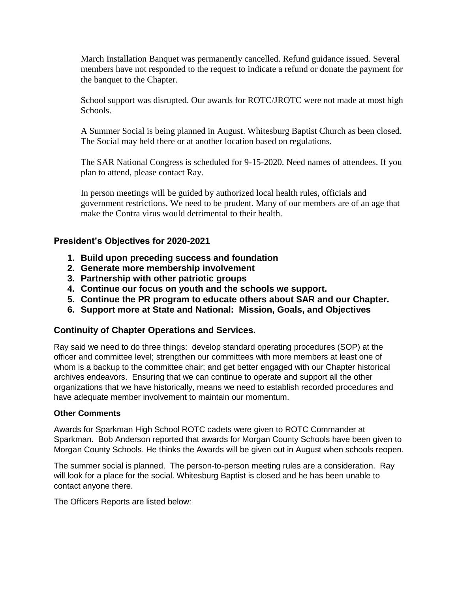March Installation Banquet was permanently cancelled. Refund guidance issued. Several members have not responded to the request to indicate a refund or donate the payment for the banquet to the Chapter.

School support was disrupted. Our awards for ROTC/JROTC were not made at most high Schools.

A Summer Social is being planned in August. Whitesburg Baptist Church as been closed. The Social may held there or at another location based on regulations.

The SAR National Congress is scheduled for 9-15-2020. Need names of attendees. If you plan to attend, please contact Ray.

In person meetings will be guided by authorized local health rules, officials and government restrictions. We need to be prudent. Many of our members are of an age that make the Contra virus would detrimental to their health.

#### **President's Objectives for 2020-2021**

- **1. Build upon preceding success and foundation**
- **2. Generate more membership involvement**
- **3. Partnership with other patriotic groups**
- **4. Continue our focus on youth and the schools we support.**
- **5. Continue the PR program to educate others about SAR and our Chapter.**
- **6. Support more at State and National: Mission, Goals, and Objectives**

#### **Continuity of Chapter Operations and Services.**

Ray said we need to do three things: develop standard operating procedures (SOP) at the officer and committee level; strengthen our committees with more members at least one of whom is a backup to the committee chair; and get better engaged with our Chapter historical archives endeavors. Ensuring that we can continue to operate and support all the other organizations that we have historically, means we need to establish recorded procedures and have adequate member involvement to maintain our momentum.

#### **Other Comments**

Awards for Sparkman High School ROTC cadets were given to ROTC Commander at Sparkman. Bob Anderson reported that awards for Morgan County Schools have been given to Morgan County Schools. He thinks the Awards will be given out in August when schools reopen.

The summer social is planned. The person-to-person meeting rules are a consideration. Ray will look for a place for the social. Whitesburg Baptist is closed and he has been unable to contact anyone there.

The Officers Reports are listed below: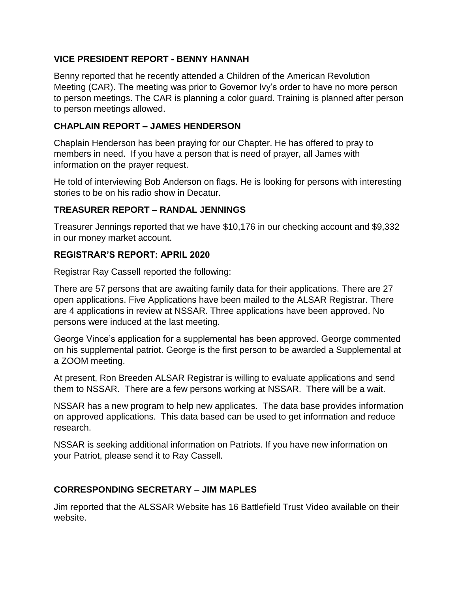## **VICE PRESIDENT REPORT - BENNY HANNAH**

Benny reported that he recently attended a Children of the American Revolution Meeting (CAR). The meeting was prior to Governor Ivy's order to have no more person to person meetings. The CAR is planning a color guard. Training is planned after person to person meetings allowed.

### **CHAPLAIN REPORT – JAMES HENDERSON**

Chaplain Henderson has been praying for our Chapter. He has offered to pray to members in need. If you have a person that is need of prayer, all James with information on the prayer request.

He told of interviewing Bob Anderson on flags. He is looking for persons with interesting stories to be on his radio show in Decatur.

## **TREASURER REPORT – RANDAL JENNINGS**

Treasurer Jennings reported that we have \$10,176 in our checking account and \$9,332 in our money market account.

# **REGISTRAR'S REPORT: APRIL 2020**

Registrar Ray Cassell reported the following:

There are 57 persons that are awaiting family data for their applications. There are 27 open applications. Five Applications have been mailed to the ALSAR Registrar. There are 4 applications in review at NSSAR. Three applications have been approved. No persons were induced at the last meeting.

George Vince's application for a supplemental has been approved. George commented on his supplemental patriot. George is the first person to be awarded a Supplemental at a ZOOM meeting.

At present, Ron Breeden ALSAR Registrar is willing to evaluate applications and send them to NSSAR. There are a few persons working at NSSAR. There will be a wait.

NSSAR has a new program to help new applicates. The data base provides information on approved applications. This data based can be used to get information and reduce research.

NSSAR is seeking additional information on Patriots. If you have new information on your Patriot, please send it to Ray Cassell.

## **CORRESPONDING SECRETARY – JIM MAPLES**

Jim reported that the ALSSAR Website has 16 Battlefield Trust Video available on their website.